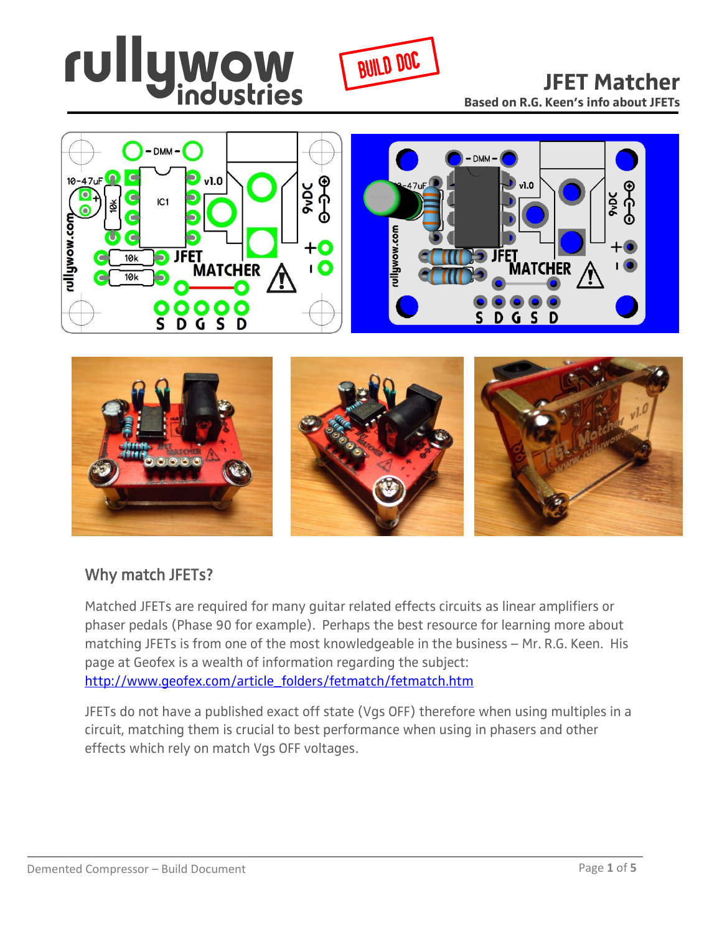







#### Why match JFETs?

Matched JFETs are required for many guitar related effects circuits as linear amplifiers or phaser pedals (Phase 90 for example). Perhaps the best resource for learning more about matching JFETs is from one of the most knowledgeable in the business – Mr. R.G. Keen. His page at Geofex is a wealth of information regarding the subject: [http://www.geofex.com/article\\_folders/fetmatch/fetmatch.htm](http://www.geofex.com/article_folders/fetmatch/fetmatch.htm)

JFETs do not have a published exact off state (Vgs OFF) therefore when using multiples in a circuit, matching them is crucial to best performance when using in phasers and other effects which rely on match Vgs OFF voltages.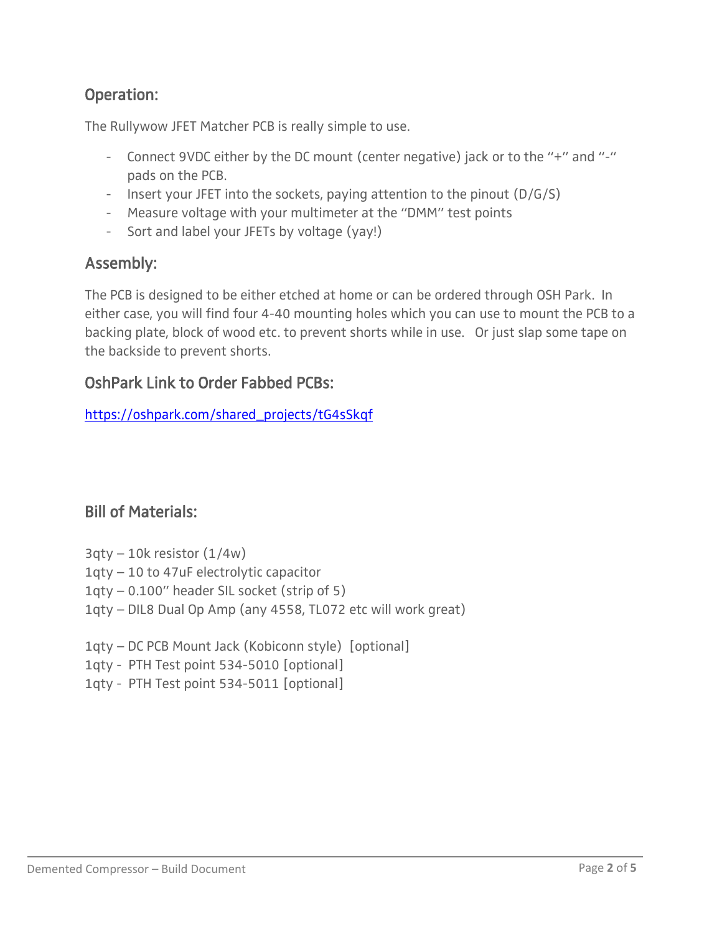### Operation:

The Rullywow JFET Matcher PCB is really simple to use.

- Connect 9VDC either by the DC mount (center negative) jack or to the "+" and "-" pads on the PCB.
- Insert your JFET into the sockets, paying attention to the pinout (D/G/S)
- Measure voltage with your multimeter at the "DMM" test points
- Sort and label your JFETs by voltage (yay!)

#### Assembly:

The PCB is designed to be either etched at home or can be ordered through OSH Park. In either case, you will find four 4-40 mounting holes which you can use to mount the PCB to a backing plate, block of wood etc. to prevent shorts while in use. Or just slap some tape on the backside to prevent shorts.

#### OshPark Link to Order Fabbed PCBs:

[https://oshpark.com/shared\\_projects/tG4sSkqf](https://oshpark.com/shared_projects/tG4sSkqf)

#### Bill of Materials:

- $3qtv 10k$  resistor  $(1/4w)$
- 1qty 10 to 47uF electrolytic capacitor
- 1qty 0.100" header SIL socket (strip of 5)
- 1qty DIL8 Dual Op Amp (any 4558, TL072 etc will work great)
- 1qty DC PCB Mount Jack (Kobiconn style) [optional]
- 1qty PTH Test point 534-5010 [optional]
- 1qty PTH Test point 534-5011 [optional]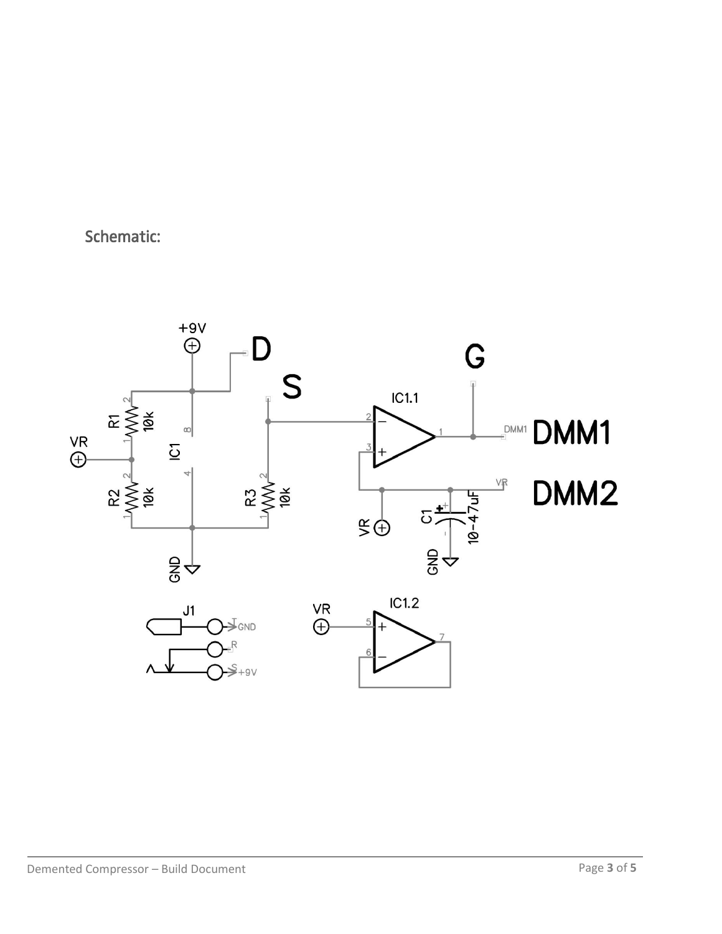Schematic:

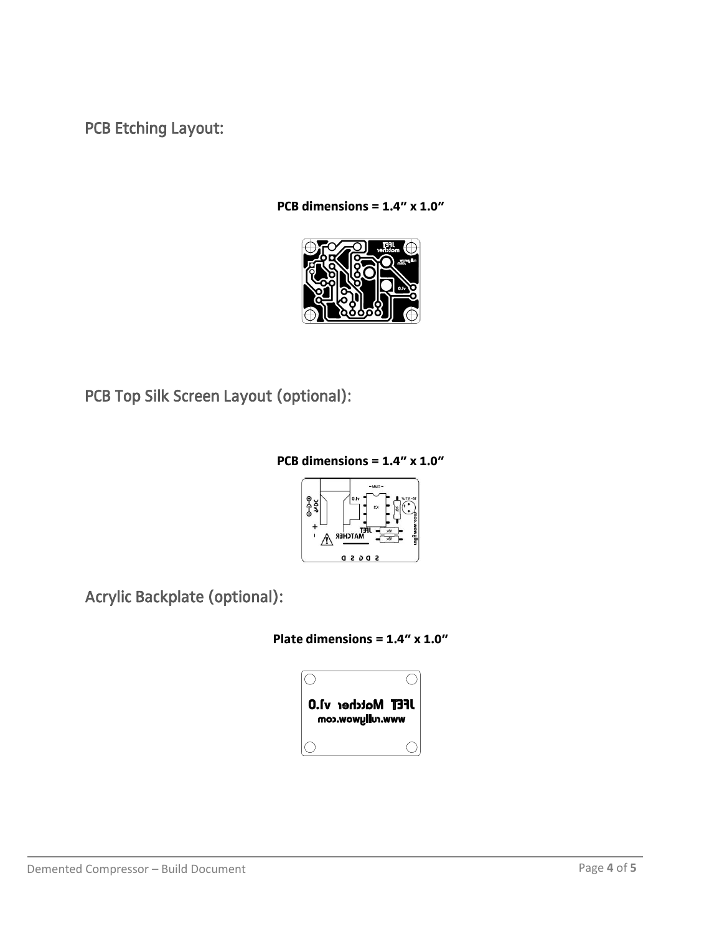PCB Etching Layout:

**PCB dimensions = 1.4" x 1.0"**



PCB Top Silk Screen Layout (optional):

#### **PCB dimensions = 1.4" x 1.0"**



Acrylic Backplate (optional):

**Plate dimensions = 1.4" x 1.0"**